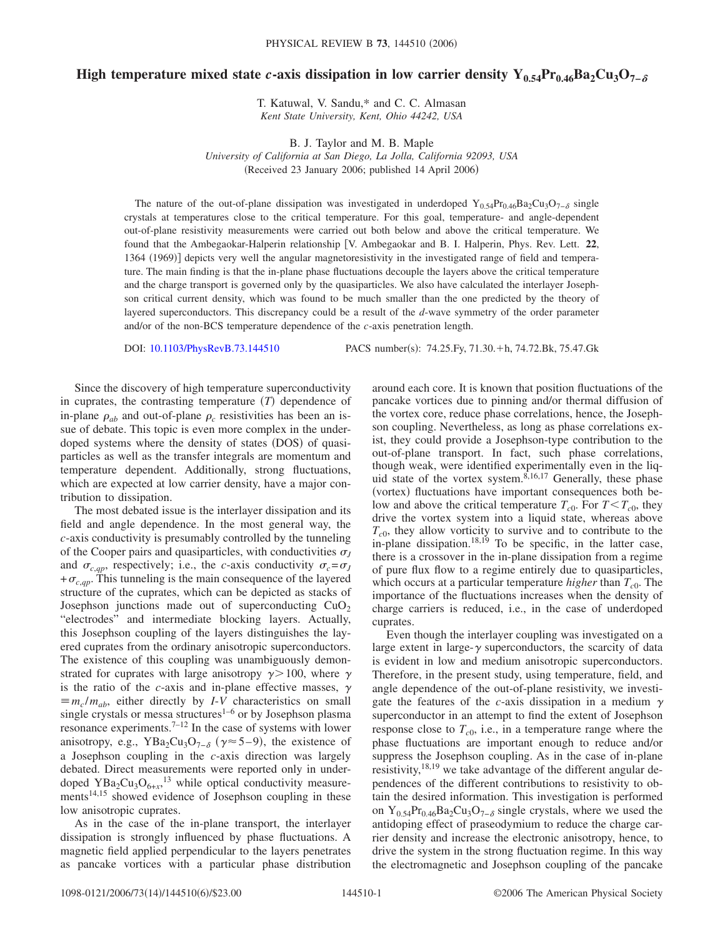## High temperature mixed state *c*-axis dissipation in low carrier density Y<sub>0.54</sub>Pr<sub>0.46</sub>Ba<sub>2</sub>Cu<sub>3</sub>O<sub>7−</sub><sub>∂</sub>

T. Katuwal, V. Sandu,\* and C. C. Almasan *Kent State University, Kent, Ohio 44242, USA*

B. J. Taylor and M. B. Maple *University of California at San Diego, La Jolla, California 92093, USA* (Received 23 January 2006; published 14 April 2006)

The nature of the out-of-plane dissipation was investigated in underdoped Y<sub>0.54</sub>Pr<sub>0.46</sub>Ba<sub>2</sub>Cu<sub>3</sub>O<sub>7−</sub> $_{\delta}$  single crystals at temperatures close to the critical temperature. For this goal, temperature- and angle-dependent out-of-plane resistivity measurements were carried out both below and above the critical temperature. We found that the Ambegaokar-Halperin relationship V. Ambegaokar and B. I. Halperin, Phys. Rev. Lett. **22**, 1364 (1969)] depicts very well the angular magnetoresistivity in the investigated range of field and temperature. The main finding is that the in-plane phase fluctuations decouple the layers above the critical temperature and the charge transport is governed only by the quasiparticles. We also have calculated the interlayer Josephson critical current density, which was found to be much smaller than the one predicted by the theory of layered superconductors. This discrepancy could be a result of the *d*-wave symmetry of the order parameter and/or of the non-BCS temperature dependence of the *c*-axis penetration length.

DOI: [10.1103/PhysRevB.73.144510](http://dx.doi.org/10.1103/PhysRevB.73.144510)

: 74.25. Fy, 71.30. +h, 74.72. Bk, 75.47. Gk

Since the discovery of high temperature superconductivity in cuprates, the contrasting temperature  $(T)$  dependence of in-plane  $\rho_{ab}$  and out-of-plane  $\rho_c$  resistivities has been an issue of debate. This topic is even more complex in the underdoped systems where the density of states (DOS) of quasiparticles as well as the transfer integrals are momentum and temperature dependent. Additionally, strong fluctuations, which are expected at low carrier density, have a major contribution to dissipation.

The most debated issue is the interlayer dissipation and its field and angle dependence. In the most general way, the *c*-axis conductivity is presumably controlled by the tunneling of the Cooper pairs and quasiparticles, with conductivities  $\sigma$ <sub>*I*</sub> and  $\sigma_{c,qp}$ , respectively; i.e., the *c*-axis conductivity  $\sigma_c = \sigma_J$  $+\sigma_{c,qp}$ . This tunneling is the main consequence of the layered structure of the cuprates, which can be depicted as stacks of Josephson junctions made out of superconducting  $CuO<sub>2</sub>$ "electrodes" and intermediate blocking layers. Actually, this Josephson coupling of the layers distinguishes the layered cuprates from the ordinary anisotropic superconductors. The existence of this coupling was unambiguously demonstrated for cuprates with large anisotropy  $\gamma > 100$ , where  $\gamma$ is the ratio of the *c*-axis and in-plane effective masses,  $\gamma$  $\equiv m_c/m_{ab}$ , either directly by *I-V* characteristics on small single crystals or messa structures<sup>1–6</sup> or by Josephson plasma resonance experiments.<sup>7–12</sup> In the case of systems with lower anisotropy, e.g., YBa<sub>2</sub>Cu<sub>3</sub>O<sub>7- $\delta$ </sub> ( $\gamma \approx 5-9$ ), the existence of a Josephson coupling in the *c*-axis direction was largely debated. Direct measurements were reported only in underdoped  $YBa<sub>2</sub>Cu<sub>3</sub>O<sub>6+x</sub>$ <sup>13</sup> while optical conductivity measurements<sup>14,15</sup> showed evidence of Josephson coupling in these low anisotropic cuprates.

As in the case of the in-plane transport, the interlayer dissipation is strongly influenced by phase fluctuations. A magnetic field applied perpendicular to the layers penetrates as pancake vortices with a particular phase distribution around each core. It is known that position fluctuations of the pancake vortices due to pinning and/or thermal diffusion of the vortex core, reduce phase correlations, hence, the Josephson coupling. Nevertheless, as long as phase correlations exist, they could provide a Josephson-type contribution to the out-of-plane transport. In fact, such phase correlations, though weak, were identified experimentally even in the liquid state of the vortex system.<sup>8,16,17</sup> Generally, these phase (vortex) fluctuations have important consequences both below and above the critical temperature  $T_{c0}$ . For  $T < T_{c0}$ , they drive the vortex system into a liquid state, whereas above  $T_{c0}$ , they allow vorticity to survive and to contribute to the in-plane dissipation.<sup>18,19</sup> To be specific, in the latter case, there is a crossover in the in-plane dissipation from a regime of pure flux flow to a regime entirely due to quasiparticles, which occurs at a particular temperature *higher* than  $T_{c0}$ . The importance of the fluctuations increases when the density of charge carriers is reduced, i.e., in the case of underdoped cuprates.

Even though the interlayer coupling was investigated on a large extent in large- $\gamma$  superconductors, the scarcity of data is evident in low and medium anisotropic superconductors. Therefore, in the present study, using temperature, field, and angle dependence of the out-of-plane resistivity, we investigate the features of the *c*-axis dissipation in a medium  $\gamma$ superconductor in an attempt to find the extent of Josephson response close to  $T_{c0}$ , i.e., in a temperature range where the phase fluctuations are important enough to reduce and/or suppress the Josephson coupling. As in the case of in-plane resistivity,  $18,19$  we take advantage of the different angular dependences of the different contributions to resistivity to obtain the desired information. This investigation is performed on Y<sub>0.54</sub>Pr<sub>0.46</sub>Ba<sub>2</sub>Cu<sub>3</sub>O<sub>7− $\delta$ </sub> single crystals, where we used the antidoping effect of praseodymium to reduce the charge carrier density and increase the electronic anisotropy, hence, to drive the system in the strong fluctuation regime. In this way the electromagnetic and Josephson coupling of the pancake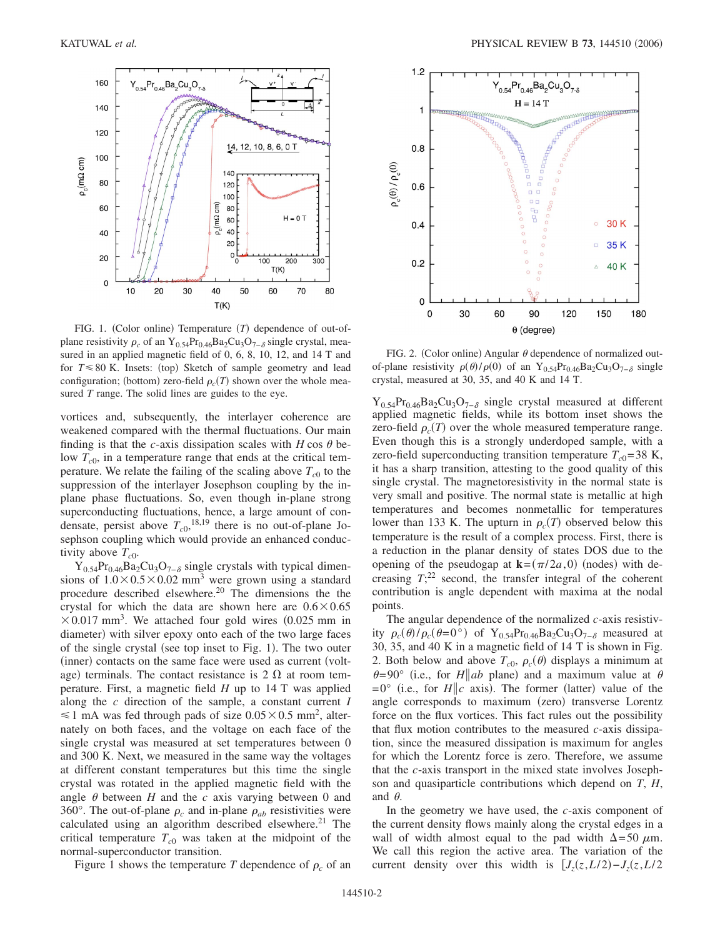

FIG. 1. (Color online) Temperature (T) dependence of out-ofplane resistivity  $\rho_c$  of an Y<sub>0.54</sub>Pr<sub>0.46</sub>Ba<sub>2</sub>Cu<sub>3</sub>O<sub>7− $\delta$ </sub> single crystal, measured in an applied magnetic field of 0, 6, 8, 10, 12, and 14 T and for  $T \le 80$  K. Insets: (top) Sketch of sample geometry and lead configuration; (bottom) zero-field  $\rho_c(T)$  shown over the whole measured *T* range. The solid lines are guides to the eye.

vortices and, subsequently, the interlayer coherence are weakened compared with the thermal fluctuations. Our main finding is that the *c*-axis dissipation scales with  $H \cos \theta$  below  $T_{c0}$ , in a temperature range that ends at the critical temperature. We relate the failing of the scaling above  $T_{c0}$  to the suppression of the interlayer Josephson coupling by the inplane phase fluctuations. So, even though in-plane strong superconducting fluctuations, hence, a large amount of condensate, persist above  $T_{c0}$ , <sup>18,19</sup> there is no out-of-plane Josephson coupling which would provide an enhanced conductivity above  $T_{c0}$ .

 $Y_{0.54}Pr_{0.46}Ba_2Cu_3O_{7-\delta}$  single crystals with typical dimensions of  $1.0 \times 0.5 \times 0.02$  mm<sup>3</sup> were grown using a standard procedure described elsewhere.20 The dimensions the the crystal for which the data are shown here are  $0.6 \times 0.65$  $\times$  0.017 mm<sup>3</sup>. We attached four gold wires (0.025 mm in diameter) with silver epoxy onto each of the two large faces of the single crystal (see top inset to Fig. 1). The two outer (inner) contacts on the same face were used as current (voltage) terminals. The contact resistance is  $2 \Omega$  at room temperature. First, a magnetic field *H* up to 14 T was applied along the *c* direction of the sample, a constant current *I*  $\leq 1$  mA was fed through pads of size  $0.05 \times 0.5$  mm<sup>2</sup>, alternately on both faces, and the voltage on each face of the single crystal was measured at set temperatures between 0 and 300 K. Next, we measured in the same way the voltages at different constant temperatures but this time the single crystal was rotated in the applied magnetic field with the angle  $\theta$  between  $H$  and the  $c$  axis varying between 0 and 360°. The out-of-plane  $\rho_c$  and in-plane  $\rho_{ab}$  resistivities were calculated using an algorithm described elsewhere.<sup>21</sup> The critical temperature  $T_{c0}$  was taken at the midpoint of the normal-superconductor transition.

Figure 1 shows the temperature *T* dependence of  $\rho_c$  of an



FIG. 2. (Color online) Angular  $\theta$  dependence of normalized outof-plane resistivity  $\rho(\theta)/\rho(0)$  of an Y<sub>0.54</sub>Pr<sub>0.46</sub>Ba<sub>2</sub>Cu<sub>3</sub>O<sub>7- $\delta$ </sub> single crystal, measured at 30, 35, and 40 K and 14 T.

 $Y_{0.54}Pr_{0.46}Ba_2Cu_3O_{7-\delta}$  single crystal measured at different applied magnetic fields, while its bottom inset shows the zero-field  $\rho_c(T)$  over the whole measured temperature range. Even though this is a strongly underdoped sample, with a zero-field superconducting transition temperature  $T_{c0}$ =38 K, it has a sharp transition, attesting to the good quality of this single crystal. The magnetoresistivity in the normal state is very small and positive. The normal state is metallic at high temperatures and becomes nonmetallic for temperatures lower than 133 K. The upturn in  $\rho_c(T)$  observed below this temperature is the result of a complex process. First, there is a reduction in the planar density of states DOS due to the opening of the pseudogap at  $\mathbf{k} = (\pi/2a, 0)$  (nodes) with decreasing  $T$ <sup>22</sup> second, the transfer integral of the coherent contribution is angle dependent with maxima at the nodal points.

The angular dependence of the normalized *c*-axis resistivity  $\rho_c(\theta)/\rho_c(\theta=0)$  of Y<sub>0.54</sub>Pr<sub>0.46</sub>Ba<sub>2</sub>Cu<sub>3</sub>O<sub>7- $\delta$ </sub> measured at 30, 35, and 40 K in a magnetic field of 14 T is shown in Fig. 2. Both below and above  $T_{c0}$ ,  $\rho_c(\theta)$  displays a minimum at  $\theta = 90^{\circ}$  (i.e., for *H*||*ab* plane) and a maximum value at  $\theta$  $=0^{\circ}$  (i.e., for *H*||c axis). The former (latter) value of the angle corresponds to maximum (zero) transverse Lorentz force on the flux vortices. This fact rules out the possibility that flux motion contributes to the measured *c*-axis dissipation, since the measured dissipation is maximum for angles for which the Lorentz force is zero. Therefore, we assume that the *c*-axis transport in the mixed state involves Josephson and quasiparticle contributions which depend on *T*, *H*, and  $\theta$ .

In the geometry we have used, the *c*-axis component of the current density flows mainly along the crystal edges in a wall of width almost equal to the pad width  $\Delta = 50 \mu$ m. We call this region the active area. The variation of the current density over this width is  $[J_z(z,L/2)-J_z(z,L/2)]$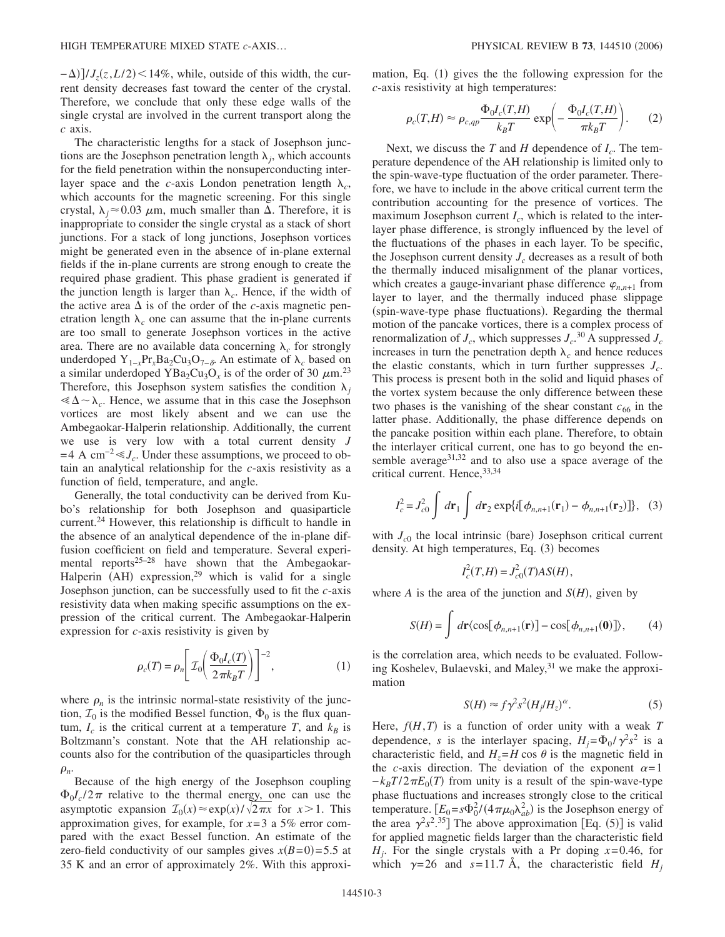$(-\Delta)$ ]/*J<sub>z</sub>*(*z*,*L*/2) < 14%, while, outside of this width, the current density decreases fast toward the center of the crystal. Therefore, we conclude that only these edge walls of the single crystal are involved in the current transport along the *c* axis.

The characteristic lengths for a stack of Josephson junctions are the Josephson penetration length  $\lambda_i$ , which accounts for the field penetration within the nonsuperconducting interlayer space and the *c*-axis London penetration length  $\lambda_c$ , which accounts for the magnetic screening. For this single crystal,  $\lambda_i \approx 0.03$   $\mu$ m, much smaller than  $\Delta$ . Therefore, it is inappropriate to consider the single crystal as a stack of short junctions. For a stack of long junctions, Josephson vortices might be generated even in the absence of in-plane external fields if the in-plane currents are strong enough to create the required phase gradient. This phase gradient is generated if the junction length is larger than  $\lambda_c$ . Hence, if the width of the active area  $\Delta$  is of the order of the *c*-axis magnetic penetration length  $\lambda_c$  one can assume that the in-plane currents are too small to generate Josephson vortices in the active area. There are no available data concerning  $\lambda_c$  for strongly underdoped  $Y_{1-x}Pr_xBa_2Cu_3O_{7-\delta}$ . An estimate of  $\lambda_c$  based on a similar underdoped YBa<sub>2</sub>Cu<sub>3</sub>O<sub>x</sub> is of the order of 30  $\mu$ m.<sup>23</sup> Therefore, this Josephson system satisfies the condition  $\lambda_i$  $\ll \Delta \sim \lambda_c$ . Hence, we assume that in this case the Josephson vortices are most likely absent and we can use the Ambegaokar-Halperin relationship. Additionally, the current we use is very low with a total current density *J*  $=4$  A cm<sup>-2</sup>  $\leq J_c$ . Under these assumptions, we proceed to obtain an analytical relationship for the *c*-axis resistivity as a function of field, temperature, and angle.

Generally, the total conductivity can be derived from Kubo's relationship for both Josephson and quasiparticle current.<sup>24</sup> However, this relationship is difficult to handle in the absence of an analytical dependence of the in-plane diffusion coefficient on field and temperature. Several experimental reports<sup>25–28</sup> have shown that the Ambegaokar-Halperin (AH) expression,<sup>29</sup> which is valid for a single Josephson junction, can be successfully used to fit the *c*-axis resistivity data when making specific assumptions on the expression of the critical current. The Ambegaokar-Halperin expression for *c*-axis resistivity is given by

$$
\rho_c(T) = \rho_n \left[ \mathcal{I}_0 \left( \frac{\Phi_0 I_c(T)}{2 \pi k_B T} \right) \right]^{-2},\tag{1}
$$

where  $\rho_n$  is the intrinsic normal-state resistivity of the junction,  $\mathcal{I}_0$  is the modified Bessel function,  $\Phi_0$  is the flux quantum,  $I_c$  is the critical current at a temperature  $T$ , and  $k_B$  is Boltzmann's constant. Note that the AH relationship accounts also for the contribution of the quasiparticles through  $\rho_n$ .

Because of the high energy of the Josephson coupling  $\Phi_0 I_c / 2\pi$  relative to the thermal energy, one can use the asymptotic expansion  $\mathcal{I}_0(x) \approx \exp(x)/\sqrt{2\pi x}$  for  $x > 1$ . This approximation gives, for example, for *x*=3 a 5% error compared with the exact Bessel function. An estimate of the zero-field conductivity of our samples gives  $x(B=0) = 5.5$  at 35 K and an error of approximately 2%. With this approxi-

mation, Eq. (1) gives the the following expression for the *c*-axis resistivity at high temperatures:

$$
\rho_c(T,H) \approx \rho_{c,qp} \frac{\Phi_0 I_c(T,H)}{k_B T} \exp\left(-\frac{\Phi_0 I_c(T,H)}{\pi k_B T}\right). \tag{2}
$$

Next, we discuss the  $T$  and  $H$  dependence of  $I_c$ . The temperature dependence of the AH relationship is limited only to the spin-wave-type fluctuation of the order parameter. Therefore, we have to include in the above critical current term the contribution accounting for the presence of vortices. The maximum Josephson current  $I_c$ , which is related to the interlayer phase difference, is strongly influenced by the level of the fluctuations of the phases in each layer. To be specific, the Josephson current density  $J_c$  decreases as a result of both the thermally induced misalignment of the planar vortices, which creates a gauge-invariant phase difference  $\varphi_{n,n+1}$  from layer to layer, and the thermally induced phase slippage (spin-wave-type phase fluctuations). Regarding the thermal motion of the pancake vortices, there is a complex process of renormalization of  $J_c$ , which suppresses  $J_c$ .<sup>30</sup> A suppressed  $J_c$ increases in turn the penetration depth  $\lambda_c$  and hence reduces the elastic constants, which in turn further suppresses  $J_c$ . This process is present both in the solid and liquid phases of the vortex system because the only difference between these two phases is the vanishing of the shear constant  $c_{66}$  in the latter phase. Additionally, the phase difference depends on the pancake position within each plane. Therefore, to obtain the interlayer critical current, one has to go beyond the ensemble average $31,32$  and to also use a space average of the critical current. Hence, 33,34

$$
I_c^2 = J_{c0}^2 \int d\mathbf{r}_1 \int d\mathbf{r}_2 \exp\{i[\phi_{n,n+1}(\mathbf{r}_1) - \phi_{n,n+1}(\mathbf{r}_2)]\},
$$
 (3)

with  $J_{c0}$  the local intrinsic (bare) Josephson critical current density. At high temperatures, Eq. (3) becomes

$$
I_c^2(T, H) = J_{c0}^2(T)AS(H),
$$

where *A* is the area of the junction and  $S(H)$ , given by

$$
S(H) = \int d\mathbf{r} \langle \cos[\phi_{n,n+1}(\mathbf{r})] - \cos[\phi_{n,n+1}(\mathbf{0})] \rangle, \qquad (4)
$$

is the correlation area, which needs to be evaluated. Following Koshelev, Bulaevski, and Maley, $31$  we make the approximation

$$
S(H) \approx f\gamma^2 s^2 (H_j/H_z)^\alpha. \tag{5}
$$

Here,  $f(H,T)$  is a function of order unity with a weak  $T$ dependence, *s* is the interlayer spacing,  $H_j = \Phi_0 / \gamma^2 s^2$  is a characteristic field, and  $H_z = H \cos \theta$  is the magnetic field in the *c*-axis direction. The deviation of the exponent  $\alpha = 1$  $-k_B T/2 \pi E_0(T)$  from unity is a result of the spin-wave-type phase fluctuations and increases strongly close to the critical temperature.  $[E_0 = s\Phi_0^2/(4\pi\mu_0\lambda_{ab}^2)$  is the Josephson energy of the area  $\gamma^2 s^2$ <sup>35</sup>] The above approximation [Eq. (5)] is valid for applied magnetic fields larger than the characteristic field  $H_i$ . For the single crystals with a Pr doping  $x=0.46$ , for which  $\gamma=26$  and  $s=11.7$  Å, the characteristic field  $H_i$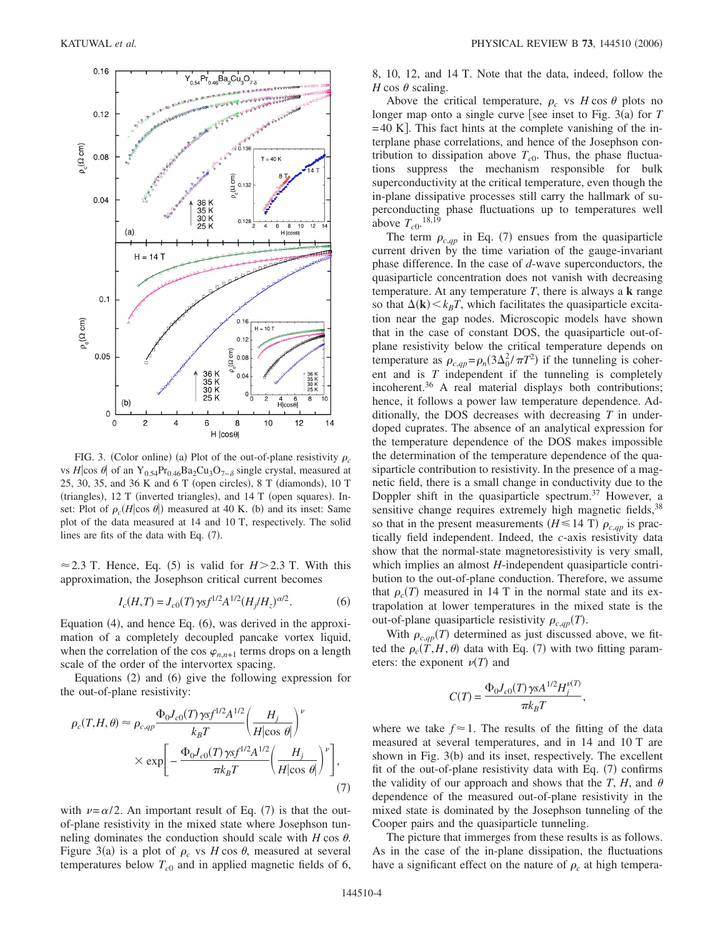

FIG. 3. (Color online) (a) Plot of the out-of-plane resistivity  $\rho_c$ vs *H*|cos  $\theta$ | of an Y<sub>0.54</sub>Pr<sub>0.46</sub>Ba<sub>2</sub>Cu<sub>3</sub>O<sub>7−δ</sub> single crystal, measured at 25, 30, 35, and 36 K and 6 T (open circles), 8 T (diamonds), 10 T (triangles), 12 T (inverted triangles), and 14 T (open squares). Inset: Plot of  $\rho_c(H|\cos \theta)$  measured at 40 K. (b) and its inset: Same plot of the data measured at 14 and 10 T, respectively. The solid lines are fits of the data with Eq.  $(7)$ .

 $\approx$  2.3 T. Hence, Eq. (5) is valid for *H* > 2.3 T. With this approximation, the Josephson critical current becomes

$$
I_c(H,T) = J_{c0}(T) \gamma s f^{1/2} A^{1/2} (H_j/H_z)^{\alpha/2}.
$$
 (6)

Equation (4), and hence Eq. (6), was derived in the approximation of a completely decoupled pancake vortex liquid, when the correlation of the cos  $\varphi_{n,n+1}$  terms drops on a length scale of the order of the intervortex spacing.

Equations (2) and (6) give the following expression for the out-of-plane resistivity:

$$
\rho_c(T, H, \theta) \approx \rho_{c, qp} \frac{\Phi_0 J_{c0}(T) \gamma s f^{1/2} A^{1/2}}{k_B T} \left(\frac{H_j}{H |\cos \theta|}\right)^{\nu}
$$

$$
\times \exp\left[-\frac{\Phi_0 J_{c0}(T) \gamma s f^{1/2} A^{1/2}}{\pi k_B T} \left(\frac{H_j}{H |\cos \theta|}\right)^{\nu}\right],\tag{7}
$$

with  $\nu = \alpha/2$ . An important result of Eq. (7) is that the outof-plane resistivity in the mixed state where Josephson tunneling dominates the conduction should scale with  $H \cos \theta$ . Figure 3(a) is a plot of  $\rho_c$  vs *H* cos  $\theta$ , measured at several temperatures below  $T_{c0}$  and in applied magnetic fields of 6, 8, 10, 12, and 14 T. Note that the data, indeed, follow the *H* cos  $\theta$  scaling.

Above the critical temperature,  $\rho_c$  vs  $H \cos \theta$  plots no longer map onto a single curve [see inset to Fig. 3(a) for *T*  $=40$  K. This fact hints at the complete vanishing of the interplane phase correlations, and hence of the Josephson contribution to dissipation above  $T_{c0}$ . Thus, the phase fluctuations suppress the mechanism responsible for bulk superconductivity at the critical temperature, even though the in-plane dissipative processes still carry the hallmark of superconducting phase fluctuations up to temperatures well above  $T_{c0}$ .<sup>18,19</sup>

The term  $\rho_{c,qp}$  in Eq. (7) ensues from the quasiparticle current driven by the time variation of the gauge-invariant phase difference. In the case of *d*-wave superconductors, the quasiparticle concentration does not vanish with decreasing temperature. At any temperature *T*, there is always a **k** range so that  $\Delta(\mathbf{k}) \le k_B T$ , which facilitates the quasiparticle excitation near the gap nodes. Microscopic models have shown that in the case of constant DOS, the quasiparticle out-ofplane resistivity below the critical temperature depends on temperature as  $\rho_{c,qp} = \rho_n(3\Delta_0^2/\pi T^2)$  if the tunneling is coherent and is *T* independent if the tunneling is completely incoherent.<sup>36</sup> A real material displays both contributions; hence, it follows a power law temperature dependence. Additionally, the DOS decreases with decreasing *T* in underdoped cuprates. The absence of an analytical expression for the temperature dependence of the DOS makes impossible the determination of the temperature dependence of the quasiparticle contribution to resistivity. In the presence of a magnetic field, there is a small change in conductivity due to the Doppler shift in the quasiparticle spectrum.<sup>37</sup> However, a sensitive change requires extremely high magnetic fields, 38 so that in the present measurements ( $H \le 14$  T)  $\rho_{c,qp}$  is practically field independent. Indeed, the *c*-axis resistivity data show that the normal-state magnetoresistivity is very small, which implies an almost *H*-independent quasiparticle contribution to the out-of-plane conduction. Therefore, we assume that  $\rho_c(T)$  measured in 14 T in the normal state and its extrapolation at lower temperatures in the mixed state is the out-of-plane quasiparticle resistivity  $\rho_{c,qp}(T)$ .

With  $\rho_{c,qp}(T)$  determined as just discussed above, we fitted the  $\rho_c(T, H, \theta)$  data with Eq. (7) with two fitting parameters: the exponent  $\nu(T)$  and

$$
C(T) = \frac{\Phi_0 J_{c0}(T) \gamma s A^{1/2} H_j^{\nu(T)}}{\pi k_B T},
$$

where we take  $f \approx 1$ . The results of the fitting of the data measured at several temperatures, and in 14 and 10 T are shown in Fig. 3(b) and its inset, respectively. The excellent fit of the out-of-plane resistivity data with Eq. (7) confirms the validity of our approach and shows that the *T*, *H*, and  $\theta$ dependence of the measured out-of-plane resistivity in the mixed state is dominated by the Josephson tunneling of the Cooper pairs and the quasiparticle tunneling.

The picture that immerges from these results is as follows. As in the case of the in-plane dissipation, the fluctuations have a significant effect on the nature of  $\rho_c$  at high tempera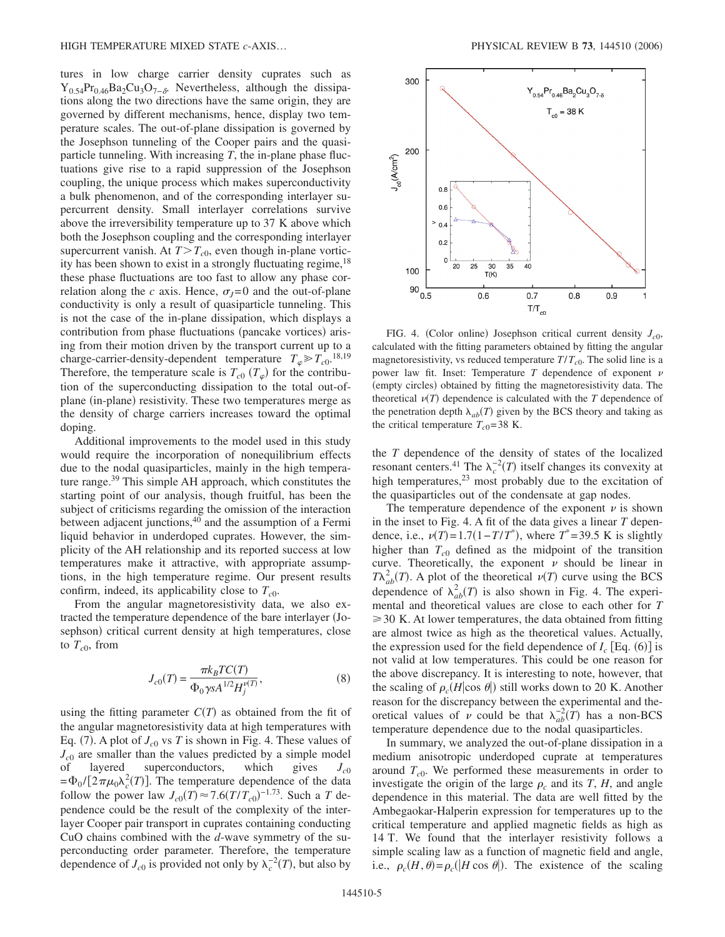tures in low charge carrier density cuprates such as  $Y_{0.54}Pr_{0.46}Ba_2Cu_3O_{7-\delta}$ . Nevertheless, although the dissipations along the two directions have the same origin, they are governed by different mechanisms, hence, display two temperature scales. The out-of-plane dissipation is governed by the Josephson tunneling of the Cooper pairs and the quasiparticle tunneling. With increasing *T*, the in-plane phase fluctuations give rise to a rapid suppression of the Josephson coupling, the unique process which makes superconductivity a bulk phenomenon, and of the corresponding interlayer supercurrent density. Small interlayer correlations survive above the irreversibility temperature up to 37 K above which both the Josephson coupling and the corresponding interlayer supercurrent vanish. At  $T>T_{c0}$ , even though in-plane vorticity has been shown to exist in a strongly fluctuating regime,  $18$ these phase fluctuations are too fast to allow any phase correlation along the *c* axis. Hence,  $\sigma_l = 0$  and the out-of-plane conductivity is only a result of quasiparticle tunneling. This is not the case of the in-plane dissipation, which displays a contribution from phase fluctuations (pancake vortices) arising from their motion driven by the transport current up to a charge-carrier-density-dependent temperature  $T_{\varphi} \gg T_{c0}$ .<sup>18,19</sup> Therefore, the temperature scale is  $T_{c0}$  ( $T_{\varphi}$ ) for the contribution of the superconducting dissipation to the total out-ofplane (in-plane) resistivity. These two temperatures merge as the density of charge carriers increases toward the optimal doping.

Additional improvements to the model used in this study would require the incorporation of nonequilibrium effects due to the nodal quasiparticles, mainly in the high temperature range.<sup>39</sup> This simple AH approach, which constitutes the starting point of our analysis, though fruitful, has been the subject of criticisms regarding the omission of the interaction between adjacent junctions, $40$  and the assumption of a Fermi liquid behavior in underdoped cuprates. However, the simplicity of the AH relationship and its reported success at low temperatures make it attractive, with appropriate assumptions, in the high temperature regime. Our present results confirm, indeed, its applicability close to  $T_{c0}$ .

From the angular magnetoresistivity data, we also extracted the temperature dependence of the bare interlayer Josephson) critical current density at high temperatures, close to  $T_{c0}$ , from

$$
J_{c0}(T) = \frac{\pi k_B T C(T)}{\Phi_0 \gamma s A^{1/2} H_j^{\nu(T)}},
$$
\n(8)

using the fitting parameter  $C(T)$  as obtained from the fit of the angular magnetoresistivity data at high temperatures with Eq. (7). A plot of  $J_{c0}$  vs  $T$  is shown in Fig. 4. These values of  $J_{c0}$  are smaller than the values predicted by a simple model<br>of layered superconductors, which gives  $J_{c0}$ of layered superconductors, which gives *Jc*<sup>0</sup>  $=\Phi_0/[2\pi\mu_0\lambda_c^2(T)]$ . The temperature dependence of the data follow the power law  $J_{c0}(T) \approx 7.6 (T/T_{c0})^{-1.73}$ . Such a *T* dependence could be the result of the complexity of the interlayer Cooper pair transport in cuprates containing conducting CuO chains combined with the *d*-wave symmetry of the superconducting order parameter. Therefore, the temperature dependence of  $J_{c0}$  is provided not only by  $\lambda_c^{-2}(T)$ , but also by



FIG. 4. (Color online) Josephson critical current density  $J_{c0}$ , calculated with the fitting parameters obtained by fitting the angular magnetoresistivity, vs reduced temperature  $T/T_{c0}$ . The solid line is a power law fit. Inset: Temperature  $T$  dependence of exponent  $\nu$ (empty circles) obtained by fitting the magnetoresistivity data. The theoretical  $\nu(T)$  dependence is calculated with the *T* dependence of the penetration depth  $\lambda_{ab}(T)$  given by the BCS theory and taking as the critical temperature  $T_{c0}$ =38 K.

the *T* dependence of the density of states of the localized resonant centers.<sup>41</sup> The  $\lambda_c^{-2}(T)$  itself changes its convexity at high temperatures,<sup>23</sup> most probably due to the excitation of the quasiparticles out of the condensate at gap nodes.

The temperature dependence of the exponent  $\nu$  is shown in the inset to Fig. 4. A fit of the data gives a linear *T* dependence, i.e.,  $\nu(T) = 1.7(1 - T/T^*)$ , where  $T^* = 39.5$  K is slightly higher than  $T_{c0}$  defined as the midpoint of the transition curve. Theoretically, the exponent  $\nu$  should be linear in  $T\lambda_{ab}^2(T)$ . A plot of the theoretical  $\nu(T)$  curve using the BCS dependence of  $\lambda_{ab}^2(T)$  is also shown in Fig. 4. The experimental and theoretical values are close to each other for *T*  $\geq$  30 K. At lower temperatures, the data obtained from fitting are almost twice as high as the theoretical values. Actually, the expression used for the field dependence of  $I_c$  [Eq. (6)] is not valid at low temperatures. This could be one reason for the above discrepancy. It is interesting to note, however, that the scaling of  $\rho_c(H|\cos \theta|)$  still works down to 20 K. Another reason for the discrepancy between the experimental and theoretical values of  $\nu$  could be that  $\lambda_{ab}^{-2}(\overline{T})$  has a non-BCS temperature dependence due to the nodal quasiparticles.

In summary, we analyzed the out-of-plane dissipation in a medium anisotropic underdoped cuprate at temperatures around  $T_{c0}$ . We performed these measurements in order to investigate the origin of the large  $\rho_c$  and its *T*, *H*, and angle dependence in this material. The data are well fitted by the Ambegaokar-Halperin expression for temperatures up to the critical temperature and applied magnetic fields as high as 14 T. We found that the interlayer resistivity follows a simple scaling law as a function of magnetic field and angle, i.e.,  $\rho_c(H, \theta) = \rho_c(|H \cos \theta|)$ . The existence of the scaling